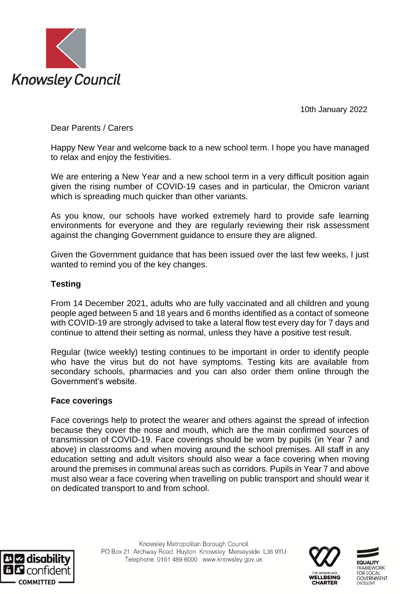

10th January 2022

Dear Parents / Carers

Happy New Year and welcome back to a new school term. I hope you have managed to relax and enjoy the festivities.

We are entering a New Year and a new school term in a very difficult position again given the rising number of COVID-19 cases and in particular, the Omicron variant which is spreading much quicker than other variants.

As you know, our schools have worked extremely hard to provide safe learning environments for everyone and they are regularly reviewing their risk assessment against the changing Government guidance to ensure they are aligned.

Given the Government guidance that has been issued over the last few weeks, I just wanted to remind you of the key changes.

# **Testing**

From 14 December 2021, adults who are fully vaccinated and all children and young people aged between 5 and 18 years and 6 months identified as a contact of someone with COVID-19 are strongly advised to take a lateral flow test every day for 7 days and continue to attend their setting as normal, unless they have a positive test result.

Regular (twice weekly) testing continues to be important in order to identify people who have the virus but do not have symptoms. Testing kits are available from secondary schools, pharmacies and you can also order them online through the Government's website.

### **Face coverings**

Face coverings help to protect the wearer and others against the spread of infection because they cover the nose and mouth, which are the main confirmed sources of transmission of COVID-19. Face coverings should be worn by pupils (in Year 7 and above) in classrooms and when moving around the school premises. All staff in any education setting and adult visitors should also wear a face covering when moving around the premises in communal areas such as corridors. Pupils in Year 7 and above must also wear a face covering when travelling on public transport and should wear it on dedicated transport to and from school.





**IFWORK**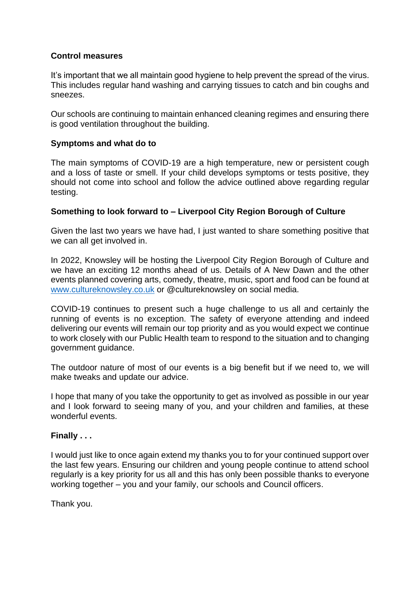# **Control measures**

It's important that we all maintain good hygiene to help prevent the spread of the virus. This includes regular hand washing and carrying tissues to catch and bin coughs and sneezes.

Our schools are continuing to maintain enhanced cleaning regimes and ensuring there is good ventilation throughout the building.

## **Symptoms and what do to**

The main symptoms of COVID-19 are a high temperature, new or persistent cough and a loss of taste or smell. If your child develops symptoms or tests positive, they should not come into school and follow the advice outlined above regarding regular testing.

# **Something to look forward to – Liverpool City Region Borough of Culture**

Given the last two years we have had, I just wanted to share something positive that we can all get involved in.

In 2022, Knowsley will be hosting the Liverpool City Region Borough of Culture and we have an exciting 12 months ahead of us. Details of A New Dawn and the other events planned covering arts, comedy, theatre, music, sport and food can be found at [www.cultureknowsley.co.uk](http://www.cultureknowsley.co.uk/) or @cultureknowsley on social media.

COVID-19 continues to present such a huge challenge to us all and certainly the running of events is no exception. The safety of everyone attending and indeed delivering our events will remain our top priority and as you would expect we continue to work closely with our Public Health team to respond to the situation and to changing government guidance.

The outdoor nature of most of our events is a big benefit but if we need to, we will make tweaks and update our advice.

I hope that many of you take the opportunity to get as involved as possible in our year and I look forward to seeing many of you, and your children and families, at these wonderful events.

### **Finally . . .**

I would just like to once again extend my thanks you to for your continued support over the last few years. Ensuring our children and young people continue to attend school regularly is a key priority for us all and this has only been possible thanks to everyone working together – you and your family, our schools and Council officers.

Thank you.